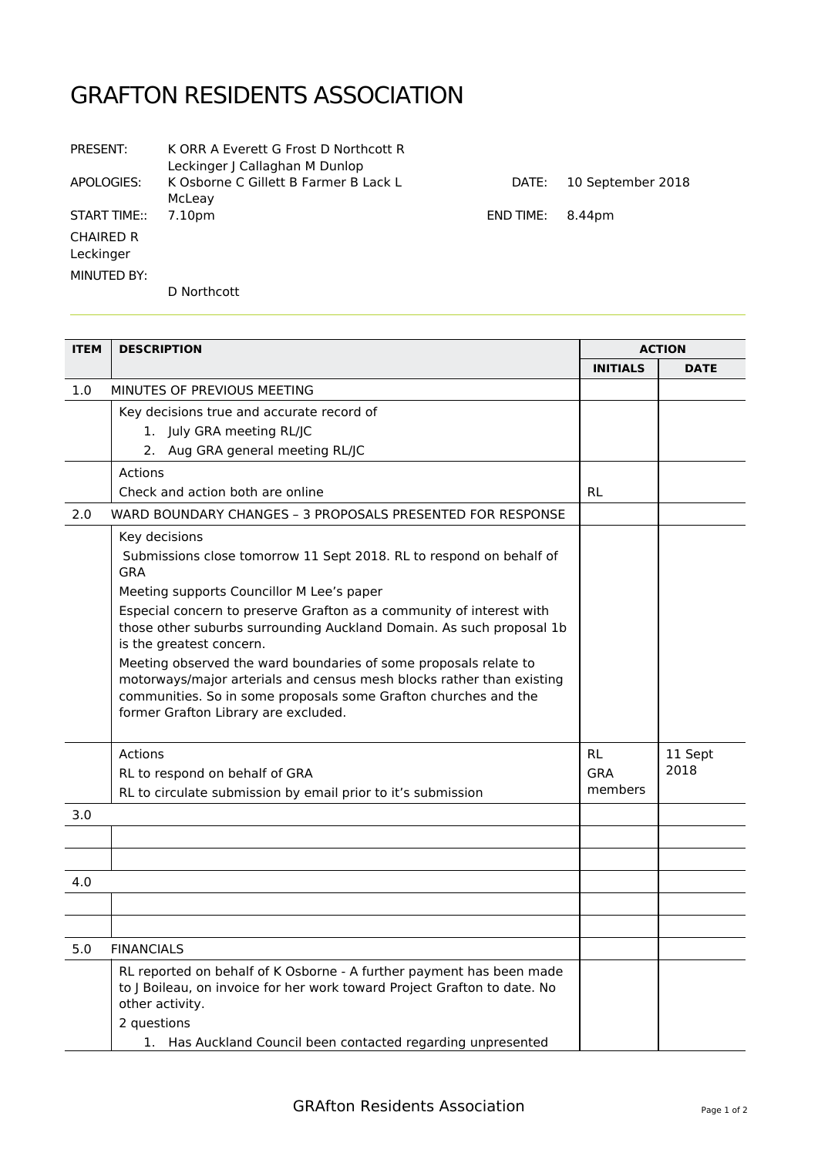## GRAFTON RESIDENTS ASSOCIATION

| PRESENT:                      | K ORR A Everett G Frost D Northcott R<br>Leckinger   Callaghan M Dunlop |           |                   |
|-------------------------------|-------------------------------------------------------------------------|-----------|-------------------|
| APOLOGIES:                    | K Osborne C Gillett B Farmer B Lack L<br>McLeav                         | DATE:     | 10 September 2018 |
| START TIME::                  | 7.10pm                                                                  | END TIME: | 8.44pm            |
| <b>CHAIRED R</b><br>Leckinger |                                                                         |           |                   |
| MINUTED BY:                   |                                                                         |           |                   |
|                               | D Northcott                                                             |           |                   |

| <b>ITEM</b> | <b>DESCRIPTION</b>                                                                                                                                                                                                                                                                                                                                                                                                                                                                                                                                                                  |                             | <b>ACTION</b>   |  |
|-------------|-------------------------------------------------------------------------------------------------------------------------------------------------------------------------------------------------------------------------------------------------------------------------------------------------------------------------------------------------------------------------------------------------------------------------------------------------------------------------------------------------------------------------------------------------------------------------------------|-----------------------------|-----------------|--|
|             |                                                                                                                                                                                                                                                                                                                                                                                                                                                                                                                                                                                     | <b>INITIALS</b>             | <b>DATE</b>     |  |
| 1.0         | MINUTES OF PREVIOUS MEETING                                                                                                                                                                                                                                                                                                                                                                                                                                                                                                                                                         |                             |                 |  |
|             | Key decisions true and accurate record of<br>1. July GRA meeting RL/JC<br>2. Aug GRA general meeting RL/JC                                                                                                                                                                                                                                                                                                                                                                                                                                                                          |                             |                 |  |
|             | Actions<br>Check and action both are online                                                                                                                                                                                                                                                                                                                                                                                                                                                                                                                                         | <b>RL</b>                   |                 |  |
| 2.0         | WARD BOUNDARY CHANGES - 3 PROPOSALS PRESENTED FOR RESPONSE                                                                                                                                                                                                                                                                                                                                                                                                                                                                                                                          |                             |                 |  |
|             | Key decisions<br>Submissions close tomorrow 11 Sept 2018. RL to respond on behalf of<br><b>GRA</b><br>Meeting supports Councillor M Lee's paper<br>Especial concern to preserve Grafton as a community of interest with<br>those other suburbs surrounding Auckland Domain. As such proposal 1b<br>is the greatest concern.<br>Meeting observed the ward boundaries of some proposals relate to<br>motorways/major arterials and census mesh blocks rather than existing<br>communities. So in some proposals some Grafton churches and the<br>former Grafton Library are excluded. |                             |                 |  |
|             | Actions<br>RL to respond on behalf of GRA<br>RL to circulate submission by email prior to it's submission                                                                                                                                                                                                                                                                                                                                                                                                                                                                           | <b>RL</b><br>GRA<br>members | 11 Sept<br>2018 |  |
| 3.0         |                                                                                                                                                                                                                                                                                                                                                                                                                                                                                                                                                                                     |                             |                 |  |
|             |                                                                                                                                                                                                                                                                                                                                                                                                                                                                                                                                                                                     |                             |                 |  |
| 4.0         |                                                                                                                                                                                                                                                                                                                                                                                                                                                                                                                                                                                     |                             |                 |  |
|             |                                                                                                                                                                                                                                                                                                                                                                                                                                                                                                                                                                                     |                             |                 |  |
| 5.0         | <b>FINANCIALS</b>                                                                                                                                                                                                                                                                                                                                                                                                                                                                                                                                                                   |                             |                 |  |
|             | RL reported on behalf of K Osborne - A further payment has been made<br>to J Boileau, on invoice for her work toward Project Grafton to date. No<br>other activity.                                                                                                                                                                                                                                                                                                                                                                                                                 |                             |                 |  |
|             | 2 questions<br>1. Has Auckland Council been contacted regarding unpresented                                                                                                                                                                                                                                                                                                                                                                                                                                                                                                         |                             |                 |  |